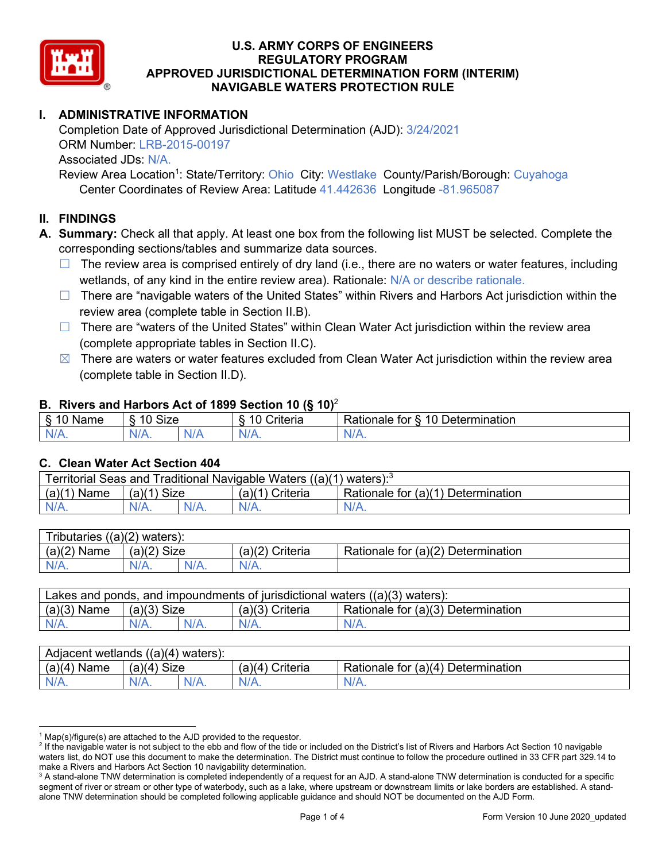

# **I. ADMINISTRATIVE INFORMATION**

Completion Date of Approved Jurisdictional Determination (AJD): 3/24/2021 ORM Number: LRB-2015-00197 Associated JDs: N/A.

Review Area Location<sup>1</sup>: State/Territory: Ohio City: Westlake County/Parish/Borough: Cuyahoga Center Coordinates of Review Area: Latitude 41.442636 Longitude -81.965087

### **II. FINDINGS**

**A. Summary:** Check all that apply. At least one box from the following list MUST be selected. Complete the corresponding sections/tables and summarize data sources.

- $\Box$  The review area is comprised entirely of dry land (i.e., there are no waters or water features, including wetlands, of any kind in the entire review area). Rationale: N/A or describe rationale.
- $\Box$  There are "navigable waters of the United States" within Rivers and Harbors Act jurisdiction within the review area (complete table in Section II.B).
- ☐ There are "waters of the United States" within Clean Water Act jurisdiction within the review area (complete appropriate tables in Section II.C).
- $\boxtimes$  There are waters or water features excluded from Clean Water Act jurisdiction within the review area (complete table in Section II.D).

### **B. Rivers and Harbors Act of 1899 Section 10 (§ 10)**<sup>2</sup>

| w                            |                        |     |                |                                                                                                   |  |  |  |
|------------------------------|------------------------|-----|----------------|---------------------------------------------------------------------------------------------------|--|--|--|
| R<br>.<br>'vallie'<br>υ<br>ູ | Size<br>$\overline{A}$ |     | 10<br>`rıterıa | $\overline{\phantom{a}}$<br>10 <sup>1</sup><br>Jetermination<br>$-1 - 1 - 1$<br>tor<br>ationale a |  |  |  |
| N/L                          | N/A.                   | NIF | N/A            | 11 I N.                                                                                           |  |  |  |

### **C. Clean Water Act Section 404**

| <b>Territorial Seas and</b><br>Traditional Navigable Waters ((a)(1)<br>waters): <sup>3</sup> |                |  |                    |                                         |  |  |  |
|----------------------------------------------------------------------------------------------|----------------|--|--------------------|-----------------------------------------|--|--|--|
| (a)(1)<br>Name                                                                               | Size<br>(a)(1) |  | (a)(1)<br>Criteria | Rationale for (a)(1) D<br>Determination |  |  |  |
|                                                                                              | $N/A$ .        |  | $N/A$ .            | $N/A$ .                                 |  |  |  |

| Tributaries $((a)(2)$ waters): |                |         |                 |                                    |  |  |  |
|--------------------------------|----------------|---------|-----------------|------------------------------------|--|--|--|
| (a)(2)<br>Name                 | Size<br>(a)(2) |         | (a)(2) Criteria | Rationale for (a)(2) Determination |  |  |  |
| $N/A$ .                        | $N/A$ .        | $N/A$ . | $N/A$ .         |                                    |  |  |  |

| Lakes and ponds, and impoundments of jurisdictional waters $((a)(3)$ waters): |               |  |                   |                                    |  |  |  |
|-------------------------------------------------------------------------------|---------------|--|-------------------|------------------------------------|--|--|--|
| $(a)(3)$ Name                                                                 | $(a)(3)$ Size |  | $(a)(3)$ Criteria | Rationale for (a)(3) Determination |  |  |  |
| $N/A$ .                                                                       | $N/A$ .       |  | $N/A$ .           | $N/A$ .                            |  |  |  |

| Adjacent<br>((a)(4)<br>) waters):<br>wetlands |                       |         |                   |                                          |  |  |  |
|-----------------------------------------------|-----------------------|---------|-------------------|------------------------------------------|--|--|--|
| (a)(4)<br>Name                                | (a)(4)<br><b>Size</b> |         | (a)(4<br>Criteria | (a)(4)<br>Rationale for<br>Determination |  |  |  |
| N/A.                                          | $N/A$ .               | $N/A$ . | $N/A$ .           | $N/A$ .                                  |  |  |  |

 $1$  Map(s)/figure(s) are attached to the AJD provided to the requestor.

<sup>&</sup>lt;sup>2</sup> If the navigable water is not subject to the ebb and flow of the tide or included on the District's list of Rivers and Harbors Act Section 10 navigable waters list, do NOT use this document to make the determination. The District must continue to follow the procedure outlined in 33 CFR part 329.14 to make a Rivers and Harbors Act Section 10 navigability determination.

<sup>&</sup>lt;sup>3</sup> A stand-alone TNW determination is completed independently of a request for an AJD. A stand-alone TNW determination is conducted for a specific segment of river or stream or other type of waterbody, such as a lake, where upstream or downstream limits or lake borders are established. A standalone TNW determination should be completed following applicable guidance and should NOT be documented on the AJD Form.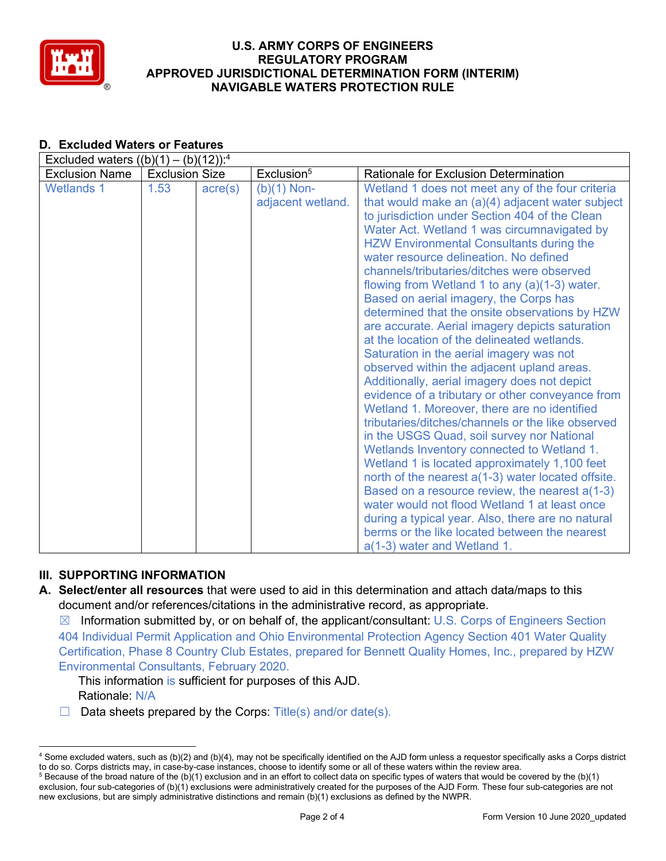

|                       | $\blacksquare$ xciuded waters ((D)(T) = (D)(TZ)). |                  |                                    |                                                                                                                                                                                                                                                                                                                                                                                                                                                                                                                                                                                                                                                                                                                                                                                                                                                                                                                                                                                                                                                                                                                                                                                                                                                                                                                    |  |  |  |  |
|-----------------------|---------------------------------------------------|------------------|------------------------------------|--------------------------------------------------------------------------------------------------------------------------------------------------------------------------------------------------------------------------------------------------------------------------------------------------------------------------------------------------------------------------------------------------------------------------------------------------------------------------------------------------------------------------------------------------------------------------------------------------------------------------------------------------------------------------------------------------------------------------------------------------------------------------------------------------------------------------------------------------------------------------------------------------------------------------------------------------------------------------------------------------------------------------------------------------------------------------------------------------------------------------------------------------------------------------------------------------------------------------------------------------------------------------------------------------------------------|--|--|--|--|
| <b>Exclusion Name</b> | <b>Exclusion Size</b>                             |                  | Exclusion <sup>5</sup>             | <b>Rationale for Exclusion Determination</b>                                                                                                                                                                                                                                                                                                                                                                                                                                                                                                                                                                                                                                                                                                                                                                                                                                                                                                                                                                                                                                                                                                                                                                                                                                                                       |  |  |  |  |
| <b>Wetlands 1</b>     | 1.53                                              | $\text{acre}(s)$ | $(b)(1)$ Non-<br>adjacent wetland. | Wetland 1 does not meet any of the four criteria<br>that would make an $(a)(4)$ adjacent water subject<br>to jurisdiction under Section 404 of the Clean<br>Water Act. Wetland 1 was circumnavigated by<br><b>HZW Environmental Consultants during the</b><br>water resource delineation. No defined<br>channels/tributaries/ditches were observed<br>flowing from Wetland 1 to any $(a)(1-3)$ water.<br>Based on aerial imagery, the Corps has<br>determined that the onsite observations by HZW<br>are accurate. Aerial imagery depicts saturation<br>at the location of the delineated wetlands.<br>Saturation in the aerial imagery was not<br>observed within the adjacent upland areas.<br>Additionally, aerial imagery does not depict<br>evidence of a tributary or other conveyance from<br>Wetland 1. Moreover, there are no identified<br>tributaries/ditches/channels or the like observed<br>in the USGS Quad, soil survey nor National<br>Wetlands Inventory connected to Wetland 1.<br>Wetland 1 is located approximately 1,100 feet<br>north of the nearest a(1-3) water located offsite.<br>Based on a resource review, the nearest a(1-3)<br>water would not flood Wetland 1 at least once<br>during a typical year. Also, there are no natural<br>berms or the like located between the nearest |  |  |  |  |
|                       |                                                   |                  |                                    | a(1-3) water and Wetland 1.                                                                                                                                                                                                                                                                                                                                                                                                                                                                                                                                                                                                                                                                                                                                                                                                                                                                                                                                                                                                                                                                                                                                                                                                                                                                                        |  |  |  |  |

#### **D. Excluded Waters or Features** Excluded waters  $((h)(1)$   $(h)(12))$ :4

# **III. SUPPORTING INFORMATION**

**A. Select/enter all resources** that were used to aid in this determination and attach data/maps to this document and/or references/citations in the administrative record, as appropriate.

 $\boxtimes$  Information submitted by, or on behalf of, the applicant/consultant: U.S. Corps of Engineers Section 404 Individual Permit Application and Ohio Environmental Protection Agency Section 401 Water Quality Certification, Phase 8 Country Club Estates, prepared for Bennett Quality Homes, Inc., prepared by HZW Environmental Consultants, February 2020.

This information is sufficient for purposes of this AJD. Rationale: N/A

 $\Box$  Data sheets prepared by the Corps: Title(s) and/or date(s).

<sup>4</sup> Some excluded waters, such as (b)(2) and (b)(4), may not be specifically identified on the AJD form unless a requestor specifically asks a Corps district to do so. Corps districts may, in case-by-case instances, choose to identify some or all of these waters within the review area.

 $5$  Because of the broad nature of the (b)(1) exclusion and in an effort to collect data on specific types of waters that would be covered by the (b)(1) exclusion, four sub-categories of (b)(1) exclusions were administratively created for the purposes of the AJD Form. These four sub-categories are not new exclusions, but are simply administrative distinctions and remain (b)(1) exclusions as defined by the NWPR.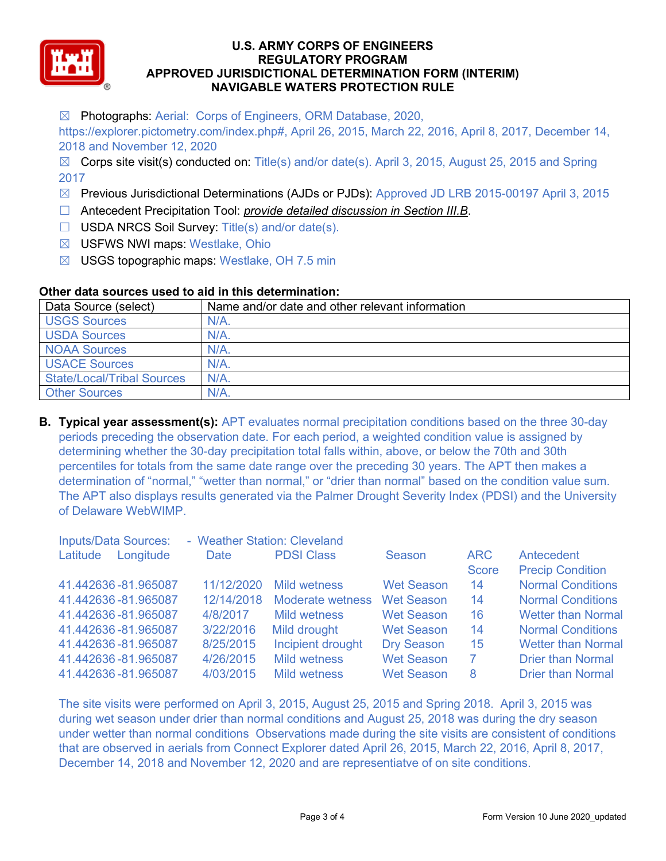

☒ Photographs: Aerial: Corps of Engineers, ORM Database, 2020,

https://explorer.pictometry.com/index.php#, April 26, 2015, March 22, 2016, April 8, 2017, December 14, 2018 and November 12, 2020

 $\boxtimes$  Corps site visit(s) conducted on: Title(s) and/or date(s). April 3, 2015, August 25, 2015 and Spring 2017

- ☒ Previous Jurisdictional Determinations (AJDs or PJDs): Approved JD LRB 2015-00197 April 3, 2015
- ☐ Antecedent Precipitation Tool: *provide detailed discussion in Section III.B*.
- ☐ USDA NRCS Soil Survey: Title(s) and/or date(s).
- ☒ USFWS NWI maps: Westlake, Ohio
- ☒ USGS topographic maps: Westlake, OH 7.5 min

## **Other data sources used to aid in this determination:**

| Data Source (select)              | Name and/or date and other relevant information |
|-----------------------------------|-------------------------------------------------|
| <b>USGS Sources</b>               | $N/A$ .                                         |
| <b>USDA Sources</b>               | $N/A$ .                                         |
| <b>NOAA Sources</b>               | N/A                                             |
| <b>USACE Sources</b>              | $N/A$ .                                         |
| <b>State/Local/Tribal Sources</b> | $N/A$ .                                         |
| <b>Other Sources</b>              | $N/A$ .                                         |

**B. Typical year assessment(s):** APT evaluates normal precipitation conditions based on the three 30-day periods preceding the observation date. For each period, a weighted condition value is assigned by determining whether the 30-day precipitation total falls within, above, or below the 70th and 30th percentiles for totals from the same date range over the preceding 30 years. The APT then makes a determination of "normal," "wetter than normal," or "drier than normal" based on the condition value sum. The APT also displays results generated via the Palmer Drought Severity Index (PDSI) and the University of Delaware WebWIMP.

| <b>Inputs/Data Sources:</b> | - Weather Station: Cleveland |                         |                   |              |                           |
|-----------------------------|------------------------------|-------------------------|-------------------|--------------|---------------------------|
| Longitude<br>Latitude       | Date                         | <b>PDSI Class</b>       | Season            | <b>ARC</b>   | Antecedent                |
|                             |                              |                         |                   | <b>Score</b> | <b>Precip Condition</b>   |
| 41.442636-81.965087         | 11/12/2020                   | <b>Mild wetness</b>     | <b>Wet Season</b> | 14           | <b>Normal Conditions</b>  |
| 41.442636-81.965087         | 12/14/2018                   | <b>Moderate wetness</b> | <b>Wet Season</b> | 14           | <b>Normal Conditions</b>  |
| 41.442636-81.965087         | 4/8/2017                     | <b>Mild wetness</b>     | <b>Wet Season</b> | 16           | <b>Wetter than Normal</b> |
| 41.442636-81.965087         | 3/22/2016                    | Mild drought            | <b>Wet Season</b> | 14           | <b>Normal Conditions</b>  |
| 41.442636-81.965087         | 8/25/2015                    | Incipient drought       | <b>Dry Season</b> | 15           | <b>Wetter than Normal</b> |
| 41.442636-81.965087         | 4/26/2015                    | <b>Mild wetness</b>     | <b>Wet Season</b> | 7            | <b>Drier than Normal</b>  |
| 41.442636-81.965087         | 4/03/2015                    | <b>Mild wetness</b>     | <b>Wet Season</b> | 8            | <b>Drier than Normal</b>  |

The site visits were performed on April 3, 2015, August 25, 2015 and Spring 2018. April 3, 2015 was during wet season under drier than normal conditions and August 25, 2018 was during the dry season under wetter than normal conditions Observations made during the site visits are consistent of conditions that are observed in aerials from Connect Explorer dated April 26, 2015, March 22, 2016, April 8, 2017, December 14, 2018 and November 12, 2020 and are representiatve of on site conditions.